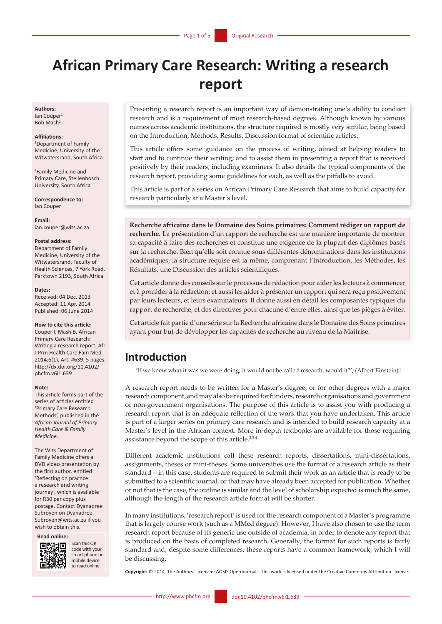# **African Primary Care Research: Writing a research report**

#### **Authors:**

Ian Couper<sup>1</sup> Bob Mash2

#### **Affiliations:**

1 Department of Family Medicine, University of the Witwatersrand, South Africa

2 Family Medicine and Primary Care, Stellenbosch University, South Africa

**Correspondence to:** Ian Couper

**Email:** [ian.couper@wits.ac.za](mailto:ian.couper%40wits.ac.za?subject=)

#### **Postal address:**

Department of Family Medicine, University of the Witwatersrand, Faculty of Health Sciences, 7 York Road, Parktown 2193, South Africa

#### **Dates:**

Received: 04 Dec. 2013 Accepted: 11 Apr. 2014 Published: 06 June 2014

#### **How to cite this article:**

Couper I, Mash B. African Primary Care Research: Writing a research report. Afr J Prm Health Care Fam Med. 2014;6(1), Art. #639, 5 pages. [http://dx.doi.org/10.4102/](http://dx.doi.org/10.4102/phcfm.v6i1.639) [phcfm.v6i1.639](http://dx.doi.org/10.4102/phcfm.v6i1.639) 

#### **Note:**

This article forms part of the series of articles entitled 'Primary Care Research Methods', published in the *African Journal of Primary Health Care & Family Medicine*.

The Wits Department of Family Medicine offers a DVD video presentation by the first author, entitled 'Reflecting on practice: a research and writing journey', which is available for R30 per copy plus postage. Contact Dyanadree Subroyen on [Dyanadree.](mailto:Dyanadree.Subroyen@wits.ac.za) [Subroyen@wits.ac.za](mailto:Dyanadree.Subroyen@wits.ac.za) if you wish to obtain this.

**Read online:**



Scan this QR code with your smart phone or mobile device to read online.

Presenting a research report is an important way of demonstrating one's ability to conduct research and is a requirement of most research-based degrees. Although known by various names across academic institutions, the structure required is mostly very similar, being based on the Introduction, Methods, Results, Discussion format of scientific articles.

This article offers some guidance on the process of writing, aimed at helping readers to start and to continue their writing; and to assist them in presenting a report that is received positively by their readers, including examiners. It also details the typical components of the research report, providing some guidelines for each, as well as the pitfalls to avoid.

This article is part of a series on African Primary Care Research that aims to build capacity for research particularly at a Master's level.

**Recherche africaine dans le Domaine des Soins primaires: Comment rédiger un rapport de recherche.** La présentation d'un rapport de recherche est une manière importante de montrer sa capacité à faire des recherches et constitue une exigence de la plupart des diplômes basés sur la recherche. Bien qu'elle soit connue sous différentes dénominations dans les institutions académiques, la structure requise est la même, comprenant l'Introduction, les Méthodes, les Résultats, une Discussion des articles scientifiques.

Cet article donne des conseils sur le processus de rédaction pour aider les lecteurs à commencer et à procéder à la rédaction; et aussi les aider à présenter un rapport qui sera reçu positivement par leurs lecteurs, et leurs examinateurs. Il donne aussi en détail les composantes typiques du rapport de recherche, et des directives pour chacune d'entre elles, ainsi que les pièges à éviter.

Cet article fait partie d'une série sur la Recherche africaine dans le Domaine des Soins primaires ayant pour but de développer les capacités de recherche au niveau de la Maitrise.

# **Introduction**

'If we knew what it was we were doing, it would not be called research, would it?', (Albert Einstein).1

A research report needs to be written for a Master's degree, or for other degrees with a major research component, and may also be required for funders, research organisations and government or non-government organisations. The purpose of this article is to assist you with producing a research report that is an adequate reflection of the work that you have undertaken. This article is part of a larger series on primary care research and is intended to build research capacity at a Master's level in the African context. More in-depth textbooks are available for those requiring assistance beyond the scope of this article.<sup>2,3,4</sup>

Different academic institutions call these research reports, dissertations, mini-dissertations, assignments, theses or mini-theses. Some universities use the format of a research article as their standard – in this case, students are required to submit their work as an article that is ready to be submitted to a scientific journal, or that may have already been accepted for publication. Whether or not that is the case, the outline is similar and the level of scholarship expected is much the same, although the length of the research article format will be shorter.

In many institutions, 'research report' is used for the research component of a Master's programme that is largely course work (such as a MMed degree). However, I have also chosen to use the term research report because of its generic use outside of academia, in order to denote any report that is produced on the basis of completed research. Generally, the format for such reports is fairly standard and, despite some differences, these reports have a common framework, which I will be discussing.

**Copyright:** © 2014. The Authors. Licensee: AOSIS OpenJournals. This work is licensed under the Creative Commons Attribution License.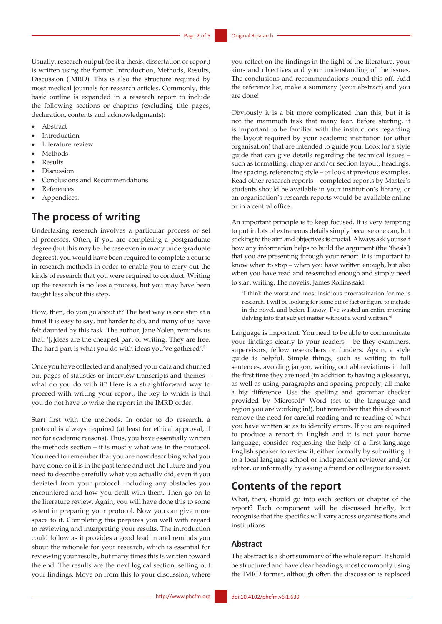Usually, research output (be it a thesis, dissertation or report) is written using the format: Introduction, Methods, Results, Discussion (IMRD). This is also the structure required by most medical journals for research articles. Commonly, this basic outline is expanded in a research report to include the following sections or chapters (excluding title pages, declaration, contents and acknowledgments):

- **Abstract**
- **Introduction**
- Literature review
- **Methods**
- **Results**
- **Discussion**
- Conclusions and Recommendations
- **References**
- Appendices.

# **The process of writing**

Undertaking research involves a particular process or set of processes. Often, if you are completing a postgraduate degree (but this may be the case even in many undergraduate degrees), you would have been required to complete a course in research methods in order to enable you to carry out the kinds of research that you were required to conduct. Writing up the research is no less a process, but you may have been taught less about this step.

How, then, do you go about it? The best way is one step at a time! It is easy to say, but harder to do, and many of us have felt daunted by this task. The author, Jane Yolen, reminds us that: '[*i*]deas are the cheapest part of writing. They are free. The hard part is what you do with ideas you've gathered'.5

Once you have collected and analysed your data and churned out pages of statistics or interview transcripts and themes – what do you do with it? Here is a straightforward way to proceed with writing your report, the key to which is that you do not have to write the report in the IMRD order.

Start first with the methods. In order to do research, a protocol is always required (at least for ethical approval, if not for academic reasons). Thus, you have essentially written the methods section – it is mostly what was in the protocol. You need to remember that you are now describing what you have done, so it is in the past tense and not the future and you need to describe carefully what you actually did, even if you deviated from your protocol, including any obstacles you encountered and how you dealt with them. Then go on to the literature review. Again, you will have done this to some extent in preparing your protocol. Now you can give more space to it. Completing this prepares you well with regard to reviewing and interpreting your results. The introduction could follow as it provides a good lead in and reminds you about the rationale for your research, which is essential for reviewing your results, but many times this is written toward the end. The results are the next logical section, setting out your findings. Move on from this to your discussion, where

you reflect on the findings in the light of the literature, your aims and objectives and your understanding of the issues. The conclusions and recommendations round this off. Add the reference list, make a summary (your abstract) and you are done!

Obviously it is a bit more complicated than this, but it is not the mammoth task that many fear. Before starting, it is important to be familiar with the instructions regarding the layout required by your academic institution (or other organisation) that are intended to guide you. Look for a style guide that can give details regarding the technical issues – such as formatting, chapter and/or section layout, headings, line spacing, referencing style – or look at previous examples. Read other research reports – completed reports by Master's students should be available in your institution's library, or an organisation's research reports would be available online or in a central office.

An important principle is to keep focused. It is very tempting to put in lots of extraneous details simply because one can, but sticking to the aim and objectives is crucial. Always ask yourself how any information helps to build the argument (the 'thesis') that you are presenting through your report. It is important to know when to stop – when you have written enough, but also when you have read and researched enough and simply need to start writing. The novelist James Rollins said:

'I think the worst and most insidious procrastination for me is research. I will be looking for some bit of fact or figure to include in the novel, and before I know, I've wasted an entire morning delving into that subject matter without a word written.'6

Language is important. You need to be able to communicate your findings clearly to your readers – be they examiners, supervisors, fellow researchers or funders. Again, a style guide is helpful. Simple things, such as writing in full sentences, avoiding jargon, writing out abbreviations in full the first time they are used (in addition to having a glossary), as well as using paragraphs and spacing properly, all make a big difference. Use the spelling and grammar checker provided by Microsoft® Word (set to the language and region you are working in!), but remember that this does not remove the need for careful reading and re-reading of what you have written so as to identify errors. If you are required to produce a report in English and it is not your home language, consider requesting the help of a first-language English speaker to review it, either formally by submitting it to a local language school or independent reviewer and/or editor, or informally by asking a friend or colleague to assist.

# **Contents of the report**

What, then, should go into each section or chapter of the report? Each component will be discussed briefly, but recognise that the specifics will vary across organisations and institutions.

### **Abstract**

The abstract is a short summary of the whole report. It should be structured and have clear headings, most commonly using the IMRD format, although often the discussion is replaced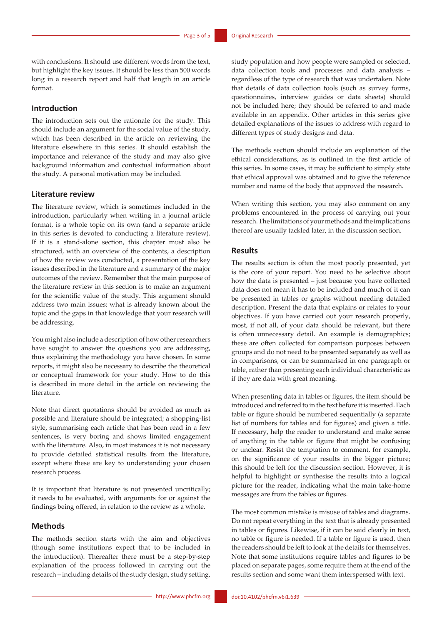with conclusions. It should use different words from the text, but highlight the key issues. It should be less than 500 words long in a research report and half that length in an article format.

### **Introduction**

The introduction sets out the rationale for the study. This should include an argument for the social value of the study, which has been described in the article on reviewing the literature elsewhere in this series. It should establish the importance and relevance of the study and may also give background information and contextual information about the study. A personal motivation may be included.

#### **Literature review**

The literature review, which is sometimes included in the introduction, particularly when writing in a journal article format, is a whole topic on its own (and a separate article in this series is devoted to conducting a literature review). If it is a stand-alone section, this chapter must also be structured, with an overview of the contents, a description of how the review was conducted, a presentation of the key issues described in the literature and a summary of the major outcomes of the review. Remember that the main purpose of the literature review in this section is to make an argument for the scientific value of the study. This argument should address two main issues: what is already known about the topic and the gaps in that knowledge that your research will be addressing.

You might also include a description of how other researchers have sought to answer the questions you are addressing, thus explaining the methodology you have chosen. In some reports, it might also be necessary to describe the theoretical or conceptual framework for your study. How to do this is described in more detail in the article on reviewing the literature.

Note that direct quotations should be avoided as much as possible and literature should be integrated; a shopping-list style, summarising each article that has been read in a few sentences, is very boring and shows limited engagement with the literature. Also, in most instances it is not necessary to provide detailed statistical results from the literature, except where these are key to understanding your chosen research process.

It is important that literature is not presented uncritically; it needs to be evaluated, with arguments for or against the findings being offered, in relation to the review as a whole.

### **Methods**

The methods section starts with the aim and objectives (though some institutions expect that to be included in the introduction). Thereafter there must be a step-by-step explanation of the process followed in carrying out the research – including details of the study design, study setting, study population and how people were sampled or selected, data collection tools and processes and data analysis – regardless of the type of research that was undertaken. Note that details of data collection tools (such as survey forms, questionnaires, interview guides or data sheets) should not be included here; they should be referred to and made available in an appendix. Other articles in this series give detailed explanations of the issues to address with regard to different types of study designs and data.

The methods section should include an explanation of the ethical considerations, as is outlined in the first article of this series. In some cases, it may be sufficient to simply state that ethical approval was obtained and to give the reference number and name of the body that approved the research.

When writing this section, you may also comment on any problems encountered in the process of carrying out your research. The limitations of your methods and the implications thereof are usually tackled later, in the discussion section.

#### **Results**

The results section is often the most poorly presented, yet is the core of your report. You need to be selective about how the data is presented – just because you have collected data does not mean it has to be included and much of it can be presented in tables or graphs without needing detailed description. Present the data that explains or relates to your objectives. If you have carried out your research properly, most, if not all, of your data should be relevant, but there is often unnecessary detail. An example is demographics; these are often collected for comparison purposes between groups and do not need to be presented separately as well as in comparisons, or can be summarised in one paragraph or table, rather than presenting each individual characteristic as if they are data with great meaning.

When presenting data in tables or figures, the item should be introduced and referred to in the text before it is inserted. Each table or figure should be numbered sequentially (a separate list of numbers for tables and for figures) and given a title. If necessary, help the reader to understand and make sense of anything in the table or figure that might be confusing or unclear. Resist the temptation to comment, for example, on the significance of your results in the bigger picture; this should be left for the discussion section. However, it is helpful to highlight or synthesise the results into a logical picture for the reader, indicating what the main take-home messages are from the tables or figures.

The most common mistake is misuse of tables and diagrams. Do not repeat everything in the text that is already presented in tables or figures. Likewise, if it can be said clearly in text, no table or figure is needed. If a table or figure is used, then the readers should be left to look at the details for themselves. Note that some institutions require tables and figures to be placed on separate pages, some require them at the end of the results section and some want them interspersed with text.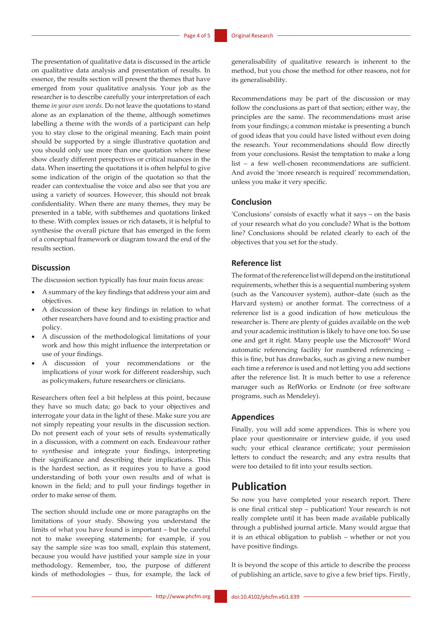The presentation of qualitative data is discussed in the article on qualitative data analysis and presentation of results. In essence, the results section will present the themes that have emerged from your qualitative analysis. Your job as the researcher is to describe carefully your interpretation of each theme *in your own words*. Do not leave the quotations to stand alone as an explanation of the theme, although sometimes labelling a theme with the words of a participant can help you to stay close to the original meaning. Each main point should be supported by a single illustrative quotation and you should only use more than one quotation where these show clearly different perspectives or critical nuances in the data. When inserting the quotations it is often helpful to give some indication of the origin of the quotation so that the reader can contextualise the voice and also see that you are using a variety of sources. However, this should not break confidentiality. When there are many themes, they may be presented in a table, with subthemes and quotations linked to these. With complex issues or rich datasets, it is helpful to synthesise the overall picture that has emerged in the form of a conceptual framework or diagram toward the end of the results section.

### **Discussion**

The discussion section typically has four main focus areas:

- A summary of the key findings that address your aim and objectives.
- A discussion of these key findings in relation to what other researchers have found and to existing practice and policy.
- A discussion of the methodological limitations of your work and how this might influence the interpretation or use of your findings.
- A discussion of your recommendations or the implications of your work for different readership, such as policymakers, future researchers or clinicians.

Researchers often feel a bit helpless at this point, because they have so much data; go back to your objectives and interrogate your data in the light of these. Make sure you are not simply repeating your results in the discussion section. Do not present each of your sets of results systematically in a discussion, with a comment on each. Endeavour rather to synthesise and integrate your findings, interpreting their significance and describing their implications. This is the hardest section, as it requires you to have a good understanding of both your own results and of what is known in the field; and to pull your findings together in order to make sense of them.

The section should include one or more paragraphs on the limitations of your study. Showing you understand the limits of what you have found is important – but be careful not to make sweeping statements; for example, if you say the sample size was too small, explain this statement, because you would have justified your sample size in your methodology. Remember, too, the purpose of different kinds of methodologies – thus, for example, the lack of generalisability of qualitative research is inherent to the method, but you chose the method for other reasons, not for its generalisability.

Recommendations may be part of the discussion or may follow the conclusions as part of that section; either way, the principles are the same. The recommendations must arise from your findings; a common mistake is presenting a bunch of good ideas that you could have listed without even doing the research. Your recommendations should flow directly from your conclusions. Resist the temptation to make a long list – a few well-chosen recommendations are sufficient. And avoid the 'more research is required' recommendation, unless you make it very specific.

### **Conclusion**

'Conclusions' consists of exactly what it says – on the basis of your research what do you conclude? What is the bottom line? Conclusions should be related clearly to each of the objectives that you set for the study.

### **Reference list**

The format of the reference list will depend on the institutional requirements, whether this is a sequential numbering system (such as the Vancouver system), author–date (such as the Harvard system) or another format. The correctness of a reference list is a good indication of how meticulous the researcher is. There are plenty of guides available on the web and your academic institution is likely to have one too. So use one and get it right. Many people use the Microsoft® Word automatic referencing facility for numbered referencing – this is fine, but has drawbacks, such as giving a new number each time a reference is used and not letting you add sections after the reference list. It is much better to use a reference manager such as RefWorks or Endnote (or free software programs, such as Mendeley).

#### **Appendices**

Finally, you will add some appendices. This is where you place your questionnaire or interview guide, if you used such; your ethical clearance certificate; your permission letters to conduct the research; and any extra results that were too detailed to fit into your results section.

## **Publication**

So now you have completed your research report. There is one final critical step – publication! Your research is not really complete until it has been made available publically through a published journal article. Many would argue that it is an ethical obligation to publish – whether or not you have positive findings.

It is beyond the scope of this article to describe the process of publishing an article, save to give a few brief tips. Firstly,